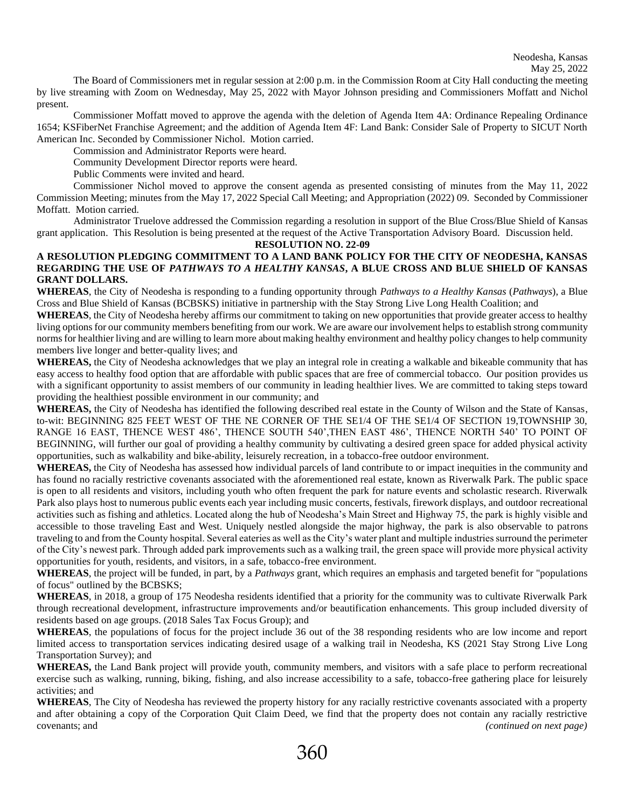The Board of Commissioners met in regular session at 2:00 p.m. in the Commission Room at City Hall conducting the meeting by live streaming with Zoom on Wednesday, May 25, 2022 with Mayor Johnson presiding and Commissioners Moffatt and Nichol present.

Commissioner Moffatt moved to approve the agenda with the deletion of Agenda Item 4A: Ordinance Repealing Ordinance 1654; KSFiberNet Franchise Agreement; and the addition of Agenda Item 4F: Land Bank: Consider Sale of Property to SICUT North American Inc. Seconded by Commissioner Nichol. Motion carried.

Commission and Administrator Reports were heard.

Community Development Director reports were heard.

Public Comments were invited and heard.

Commissioner Nichol moved to approve the consent agenda as presented consisting of minutes from the May 11, 2022 Commission Meeting; minutes from the May 17, 2022 Special Call Meeting; and Appropriation (2022) 09. Seconded by Commissioner Moffatt. Motion carried.

Administrator Truelove addressed the Commission regarding a resolution in support of the Blue Cross/Blue Shield of Kansas grant application. This Resolution is being presented at the request of the Active Transportation Advisory Board. Discussion held.

**RESOLUTION NO. 22-09**

## **A RESOLUTION PLEDGING COMMITMENT TO A LAND BANK POLICY FOR THE CITY OF NEODESHA, KANSAS REGARDING THE USE OF** *PATHWAYS TO A HEALTHY KANSAS***, A BLUE CROSS AND BLUE SHIELD OF KANSAS GRANT DOLLARS.**

**WHEREAS**, the City of Neodesha is responding to a funding opportunity through *Pathways to a Healthy Kansas* (*Pathways*), a Blue Cross and Blue Shield of Kansas (BCBSKS) initiative in partnership with the Stay Strong Live Long Health Coalition; and

**WHEREAS**, the City of Neodesha hereby affirms our commitment to taking on new opportunities that provide greater access to healthy living options for our community members benefiting from our work. We are aware our involvement helps to establish strong community norms for healthier living and are willing to learn more about making healthy environment and healthy policy changes to help community members live longer and better-quality lives; and

**WHEREAS,** the City of Neodesha acknowledges that we play an integral role in creating a walkable and bikeable community that has easy access to healthy food option that are affordable with public spaces that are free of commercial tobacco. Our position provides us with a significant opportunity to assist members of our community in leading healthier lives. We are committed to taking steps toward providing the healthiest possible environment in our community; and

**WHEREAS,** the City of Neodesha has identified the following described real estate in the County of Wilson and the State of Kansas, to-wit: BEGINNING 825 FEET WEST OF THE NE CORNER OF THE SE1/4 OF THE SE1/4 OF SECTION 19,TOWNSHIP 30, RANGE 16 EAST, THENCE WEST 486', THENCE SOUTH 540',THEN EAST 486', THENCE NORTH 540' TO POINT OF BEGINNING, will further our goal of providing a healthy community by cultivating a desired green space for added physical activity opportunities, such as walkability and bike-ability, leisurely recreation, in a tobacco-free outdoor environment.

**WHEREAS,** the City of Neodesha has assessed how individual parcels of land contribute to or impact inequities in the community and has found no racially restrictive covenants associated with the aforementioned real estate, known as Riverwalk Park. The public space is open to all residents and visitors, including youth who often frequent the park for nature events and scholastic research. Riverwalk Park also plays host to numerous public events each year including music concerts, festivals, firework displays, and outdoor recreational activities such as fishing and athletics. Located along the hub of Neodesha's Main Street and Highway 75, the park is highly visible and accessible to those traveling East and West. Uniquely nestled alongside the major highway, the park is also observable to patrons traveling to and from the County hospital. Several eateries as well as the City's water plant and multiple industries surround the perimeter of the City's newest park. Through added park improvements such as a walking trail, the green space will provide more physical activity opportunities for youth, residents, and visitors, in a safe, tobacco-free environment.

**WHEREAS**, the project will be funded, in part, by a *Pathways* grant, which requires an emphasis and targeted benefit for "populations of focus" outlined by the BCBSKS;

**WHEREAS**, in 2018, a group of 175 Neodesha residents identified that a priority for the community was to cultivate Riverwalk Park through recreational development, infrastructure improvements and/or beautification enhancements. This group included diversity of residents based on age groups. (2018 Sales Tax Focus Group); and

**WHEREAS**, the populations of focus for the project include 36 out of the 38 responding residents who are low income and report limited access to transportation services indicating desired usage of a walking trail in Neodesha, KS (2021 Stay Strong Live Long Transportation Survey); and

**WHEREAS,** the Land Bank project will provide youth, community members, and visitors with a safe place to perform recreational exercise such as walking, running, biking, fishing, and also increase accessibility to a safe, tobacco-free gathering place for leisurely activities; and

**WHEREAS**, The City of Neodesha has reviewed the property history for any racially restrictive covenants associated with a property and after obtaining a copy of the Corporation Quit Claim Deed, we find that the property does not contain any racially restrictive covenants; and *(continued on next page)*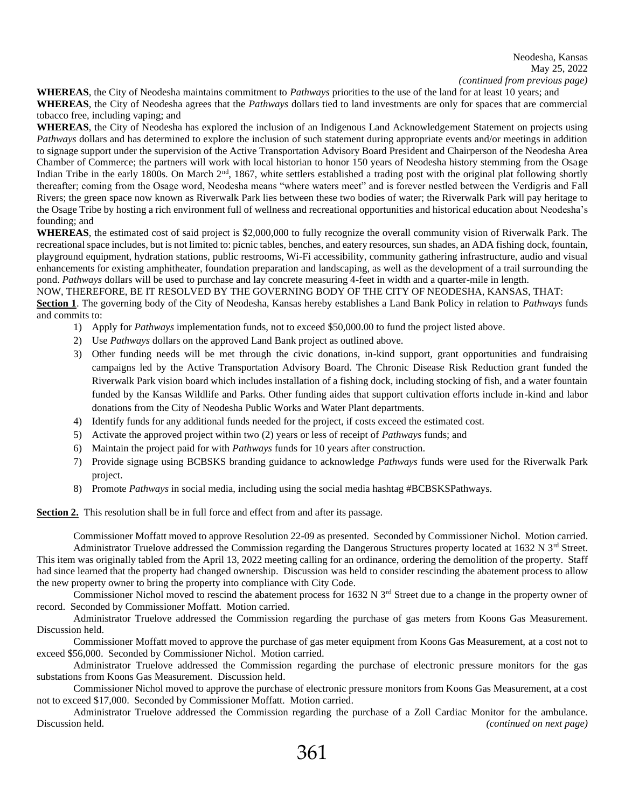## Neodesha, Kansas May 25, 2022 *(continued from previous page)*

**WHEREAS**, the City of Neodesha maintains commitment to *Pathways* priorities to the use of the land for at least 10 years; and **WHEREAS**, the City of Neodesha agrees that the *Pathways* dollars tied to land investments are only for spaces that are commercial tobacco free, including vaping; and

**WHEREAS**, the City of Neodesha has explored the inclusion of an Indigenous Land Acknowledgement Statement on projects using *Pathways* dollars and has determined to explore the inclusion of such statement during appropriate events and/or meetings in addition to signage support under the supervision of the Active Transportation Advisory Board President and Chairperson of the Neodesha Area Chamber of Commerce; the partners will work with local historian to honor 150 years of Neodesha history stemming from the Osage Indian Tribe in the early 1800s. On March 2<sup>nd</sup>, 1867, white settlers established a trading post with the original plat following shortly thereafter; coming from the Osage word, Neodesha means "where waters meet" and is forever nestled between the Verdigris and Fall Rivers; the green space now known as Riverwalk Park lies between these two bodies of water; the Riverwalk Park will pay heritage to the Osage Tribe by hosting a rich environment full of wellness and recreational opportunities and historical education about Neodesha's founding; and

**WHEREAS**, the estimated cost of said project is \$2,000,000 to fully recognize the overall community vision of Riverwalk Park. The recreational space includes, but is not limited to: picnic tables, benches, and eatery resources, sun shades, an ADA fishing dock, fountain, playground equipment, hydration stations, public restrooms, Wi-Fi accessibility, community gathering infrastructure, audio and visual enhancements for existing amphitheater, foundation preparation and landscaping, as well as the development of a trail surrounding the pond. *Pathways* dollars will be used to purchase and lay concrete measuring 4-feet in width and a quarter-mile in length.

## NOW, THEREFORE, BE IT RESOLVED BY THE GOVERNING BODY OF THE CITY OF NEODESHA, KANSAS, THAT:

**Section 1**. The governing body of the City of Neodesha, Kansas hereby establishes a Land Bank Policy in relation to *Pathways* funds and commits to:

- 1) Apply for *Pathways* implementation funds, not to exceed \$50,000.00 to fund the project listed above.
- 2) Use *Pathways* dollars on the approved Land Bank project as outlined above.
- 3) Other funding needs will be met through the civic donations, in-kind support, grant opportunities and fundraising campaigns led by the Active Transportation Advisory Board. The Chronic Disease Risk Reduction grant funded the Riverwalk Park vision board which includes installation of a fishing dock, including stocking of fish, and a water fountain funded by the Kansas Wildlife and Parks. Other funding aides that support cultivation efforts include in-kind and labor donations from the City of Neodesha Public Works and Water Plant departments.
- 4) Identify funds for any additional funds needed for the project, if costs exceed the estimated cost.
- 5) Activate the approved project within two (2) years or less of receipt of *Pathways* funds; and
- 6) Maintain the project paid for with *Pathways* funds for 10 years after construction.
- 7) Provide signage using BCBSKS branding guidance to acknowledge *Pathways* funds were used for the Riverwalk Park project.
- 8) Promote *Pathways* in social media, including using the social media hashtag #BCBSKSPathways.

**Section 2.** This resolution shall be in full force and effect from and after its passage.

Commissioner Moffatt moved to approve Resolution 22-09 as presented. Seconded by Commissioner Nichol. Motion carried. Administrator Truelove addressed the Commission regarding the Dangerous Structures property located at 1632 N  $3<sup>rd</sup>$  Street. This item was originally tabled from the April 13, 2022 meeting calling for an ordinance, ordering the demolition of the property. Staff had since learned that the property had changed ownership. Discussion was held to consider rescinding the abatement process to allow the new property owner to bring the property into compliance with City Code.

Commissioner Nichol moved to rescind the abatement process for  $1632$  N  $3<sup>rd</sup>$  Street due to a change in the property owner of record. Seconded by Commissioner Moffatt. Motion carried.

Administrator Truelove addressed the Commission regarding the purchase of gas meters from Koons Gas Measurement. Discussion held.

Commissioner Moffatt moved to approve the purchase of gas meter equipment from Koons Gas Measurement, at a cost not to exceed \$56,000. Seconded by Commissioner Nichol. Motion carried.

Administrator Truelove addressed the Commission regarding the purchase of electronic pressure monitors for the gas substations from Koons Gas Measurement. Discussion held.

Commissioner Nichol moved to approve the purchase of electronic pressure monitors from Koons Gas Measurement, at a cost not to exceed \$17,000. Seconded by Commissioner Moffatt. Motion carried.

Administrator Truelove addressed the Commission regarding the purchase of a Zoll Cardiac Monitor for the ambulance. Discussion held. *(continued on next page)*